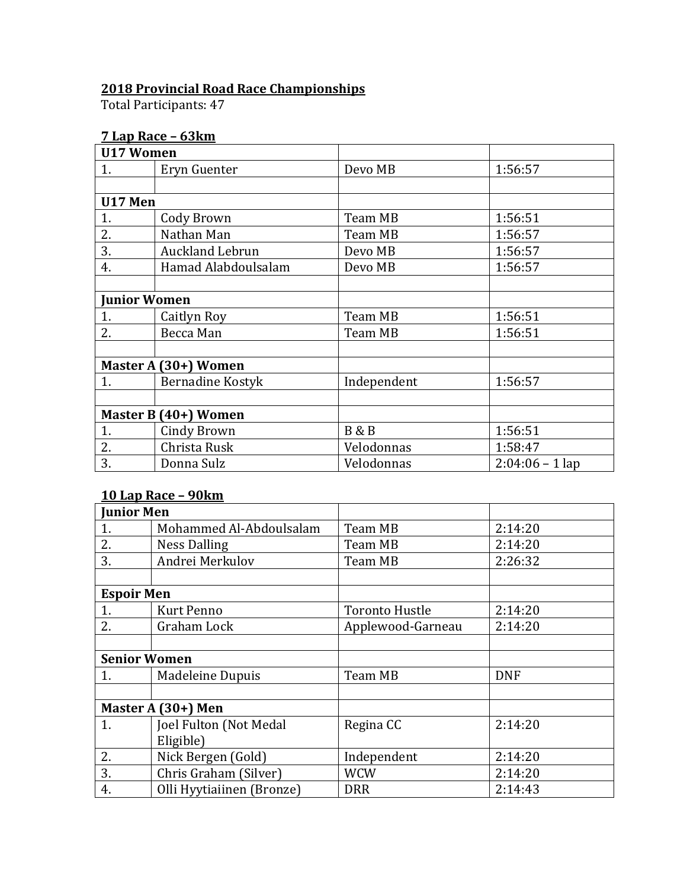## **2018 Provincial Road Race Championships**

Total Participants: 47

## **7 Lap Race – 63km**

|         | <b>U17 Women</b>        |                |                   |
|---------|-------------------------|----------------|-------------------|
| 1.      | Eryn Guenter            | Devo MB        | 1:56:57           |
|         |                         |                |                   |
| U17 Men |                         |                |                   |
| 1.      | Cody Brown              | Team MB        | 1:56:51           |
| 2.      | Nathan Man              | Team MB        | 1:56:57           |
| 3.      | <b>Auckland Lebrun</b>  | Devo MB        | 1:56:57           |
| 4.      | Hamad Alabdoulsalam     | Devo MB        | 1:56:57           |
|         |                         |                |                   |
|         | <b>Junior Women</b>     |                |                   |
| 1.      | Caitlyn Roy             | Team MB        | 1:56:51           |
| 2.      | Becca Man               | Team MB        | 1:56:51           |
|         |                         |                |                   |
|         | Master A (30+) Women    |                |                   |
| 1.      | <b>Bernadine Kostyk</b> | Independent    | 1:56:57           |
|         |                         |                |                   |
|         | Master B (40+) Women    |                |                   |
| 1.      | <b>Cindy Brown</b>      | <b>B&amp;B</b> | 1:56:51           |
| 2.      | Christa Rusk            | Velodonnas     | 1:58:47           |
| 3.      | Donna Sulz              | Velodonnas     | $2:04:06 - 1$ lap |

## **10 Lap Race – 90km**

| <b>Junior Men</b>   |                           |                       |            |
|---------------------|---------------------------|-----------------------|------------|
| 1.                  | Mohammed Al-Abdoulsalam   | Team MB               | 2:14:20    |
| 2.                  | <b>Ness Dalling</b>       | Team MB               | 2:14:20    |
| 3.                  | Andrei Merkulov           | Team MB               | 2:26:32    |
|                     |                           |                       |            |
| <b>Espoir Men</b>   |                           |                       |            |
| 1.                  | <b>Kurt Penno</b>         | <b>Toronto Hustle</b> | 2:14:20    |
| 2.                  | Graham Lock               | Applewood-Garneau     | 2:14:20    |
|                     |                           |                       |            |
| <b>Senior Women</b> |                           |                       |            |
| 1.                  | Madeleine Dupuis          | Team MB               | <b>DNF</b> |
|                     |                           |                       |            |
|                     | Master A (30+) Men        |                       |            |
| 1.                  | Joel Fulton (Not Medal    | Regina CC             | 2:14:20    |
|                     | Eligible)                 |                       |            |
| 2.                  | Nick Bergen (Gold)        | Independent           | 2:14:20    |
| 3.                  | Chris Graham (Silver)     | <b>WCW</b>            | 2:14:20    |
| 4.                  | Olli Hyytiaiinen (Bronze) | <b>DRR</b>            | 2:14:43    |